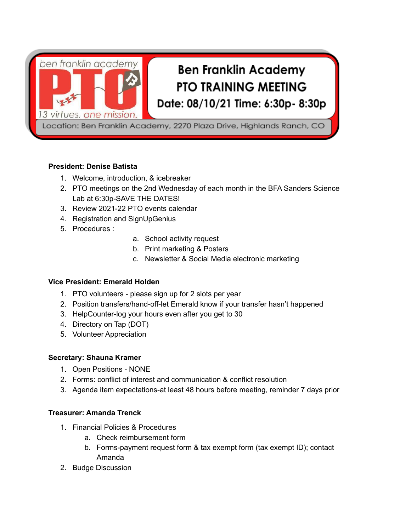

# **President: Denise Batista**

- 1. Welcome, introduction, & icebreaker
- 2. PTO meetings on the 2nd Wednesday of each month in the BFA Sanders Science Lab at 6:30p-SAVE THE DATES!
- 3. Review 2021-22 PTO events calendar
- 4. Registration and SignUpGenius
- 5. Procedures :
- a. School activity request
- b. Print marketing & Posters
- c. Newsletter & Social Media electronic marketing

#### **Vice President: Emerald Holden**

- 1. PTO volunteers please sign up for 2 slots per year
- 2. Position transfers/hand-off-let Emerald know if your transfer hasn't happened
- 3. HelpCounter-log your hours even after you get to 30
- 4. Directory on Tap (DOT)
- 5. Volunteer Appreciation

#### **Secretary: Shauna Kramer**

- 1. Open Positions NONE
- 2. Forms: conflict of interest and communication & conflict resolution
- 3. Agenda item expectations-at least 48 hours before meeting, reminder 7 days prior

#### **Treasurer: Amanda Trenck**

- 1. Financial Policies & Procedures
	- a. Check reimbursement form
	- b. Forms-payment request form & tax exempt form (tax exempt ID); contact Amanda
- 2. Budge Discussion